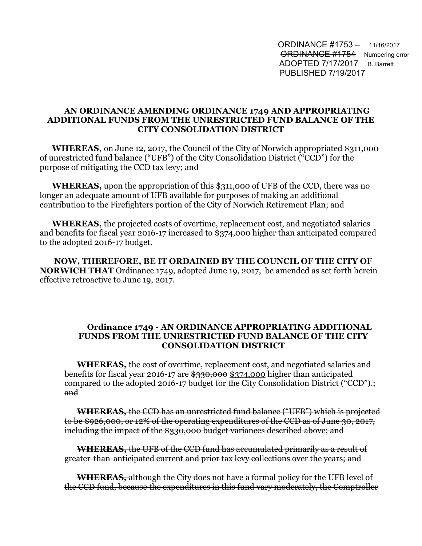ORDINANCE #1753 – 11/16/2017 **ORDINANCE #1754** Numbering error ADOPTED 7/17/2017 B. Barrett PUBLISHED 7/19/2017

## **AN ORDINANCE AMENDING ORDINANCE 1749 AND APPROPRIATING ADDITIONAL FUNDS FROM THE UNRESTRICTED FUND BALANCE OF THE CITY CONSOLIDATION DISTRICT**

**WHEREAS,** on June 12, 2017, the Council of the City of Norwich appropriated \$311,000 of unrestricted fund balance ("UFB") of the City Consolidation District ("CCD") for the purpose of mitigating the CCD tax levy; and

**WHEREAS,** upon the appropriation of this \$311,000 of UFB of the CCD, there was no longer an adequate amount of UFB available for purposes of making an additional contribution to the Firefighters portion of the City of Norwich Retirement Plan; and

**WHEREAS,** the projected costs of overtime, replacement cost, and negotiated salaries and benefits for fiscal year 2016-17 increased to \$374,000 higher than anticipated compared to the adopted 2016-17 budget.

 **NOW, THEREFORE, BE IT ORDAINED BY THE COUNCIL OF THE CITY OF NORWICH THAT** Ordinance 1749, adopted June 19, 2017, be amended as set forth herein effective retroactive to June 19, 2017.

## **Ordinance 1749 - AN ORDINANCE APPROPRIATING ADDITIONAL FUNDS FROM THE UNRESTRICTED FUND BALANCE OF THE CITY CONSOLIDATION DISTRICT**

**WHEREAS,** the cost of overtime, replacement cost, and negotiated salaries and benefits for fiscal year 2016-17 are  $\frac{$330,000}{$374,000}$  higher than anticipated compared to the adopted 2016-17 budget for the City Consolidation District ("CCD").; and

**WHEREAS,** the CCD has an unrestricted fund balance ("UFB") which is projected to be \$926,000, or 12% of the operating expenditures of the CCD as of June 30, 2017, including the impact of the \$330,000 budget variances described above; and

**WHEREAS,** the UFB of the CCD fund has accumulated primarily as a result of greater-than-anticipated current and prior tax levy collections over the years; and

**WHEREAS,** although the City does not have a formal policy for the UFB level of the CCD fund, because the expenditures in this fund vary moderately, the Comptroller